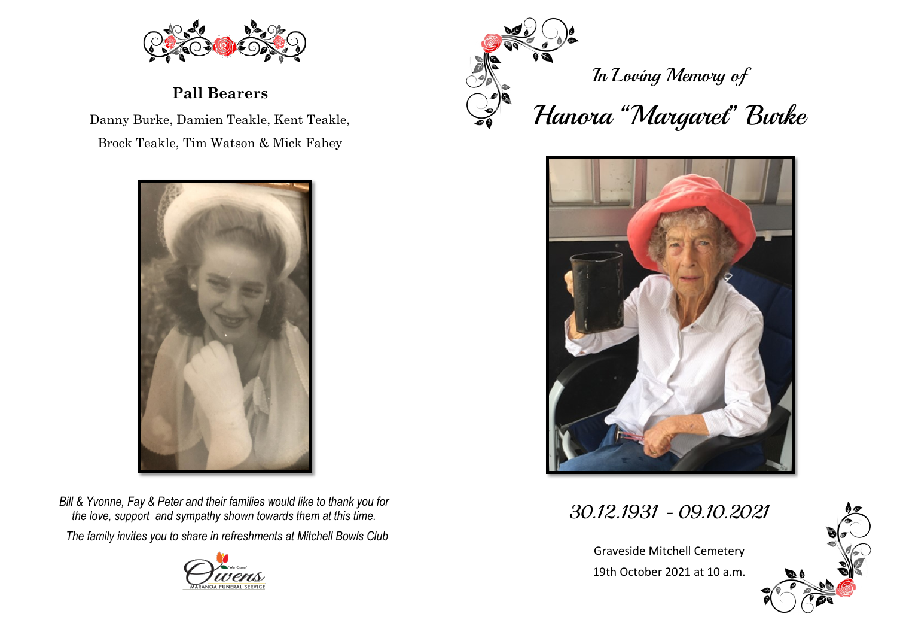

**Pall Bearers** 

Danny Burke, Damien Teakle, Kent Teakle, Brock Teakle, Tim Watson & Mick Fahey



*Bill & Yvonne, Fay & Peter and their families would like to thank you for the love, support and sympathy shown towards them at this time. The family invites you to share in refreshments at Mitchell Bowls Club* 





In Loving Memory of

## Hanora "Margaret" Burke



30.12.1931 - 09.10.2021

Graveside Mitchell Cemetery 19th October 2021 at 10 a.m.